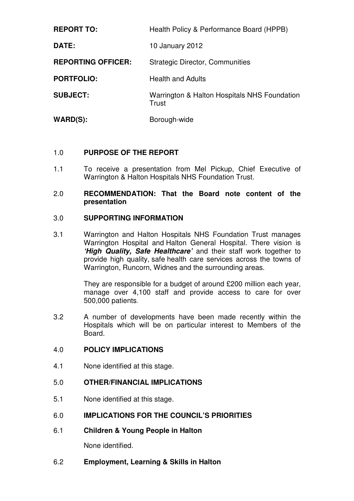| <b>REPORT TO:</b>         | Health Policy & Performance Board (HPPB)              |
|---------------------------|-------------------------------------------------------|
| DATE:                     | 10 January 2012                                       |
| <b>REPORTING OFFICER:</b> | <b>Strategic Director, Communities</b>                |
| <b>PORTFOLIO:</b>         | <b>Health and Adults</b>                              |
| <b>SUBJECT:</b>           | Warrington & Halton Hospitals NHS Foundation<br>Trust |
| $WARD(S)$ :               | Borough-wide                                          |

# 1.0 **PURPOSE OF THE REPORT**

1.1 To receive a presentation from Mel Pickup, Chief Executive of Warrington & Halton Hospitals NHS Foundation Trust.

#### 2.0 **RECOMMENDATION: That the Board note content of the presentation**

# 3.0 **SUPPORTING INFORMATION**

3.1 Warrington and Halton Hospitals NHS Foundation Trust manages Warrington Hospital and Halton General Hospital. There vision is **'High Quality, Safe Healthcare'** and their staff work together to provide high quality, safe health care services across the towns of Warrington, Runcorn, Widnes and the surrounding areas.

> They are responsible for a budget of around £200 million each year, manage over 4,100 staff and provide access to care for over 500,000 patients.

3.2 A number of developments have been made recently within the Hospitals which will be on particular interest to Members of the Board.

# 4.0 **POLICY IMPLICATIONS**

4.1 None identified at this stage.

# 5.0 **OTHER/FINANCIAL IMPLICATIONS**

5.1 None identified at this stage.

# 6.0 **IMPLICATIONS FOR THE COUNCIL'S PRIORITIES**

6.1 **Children & Young People in Halton** 

None identified.

6.2 **Employment, Learning & Skills in Halton**